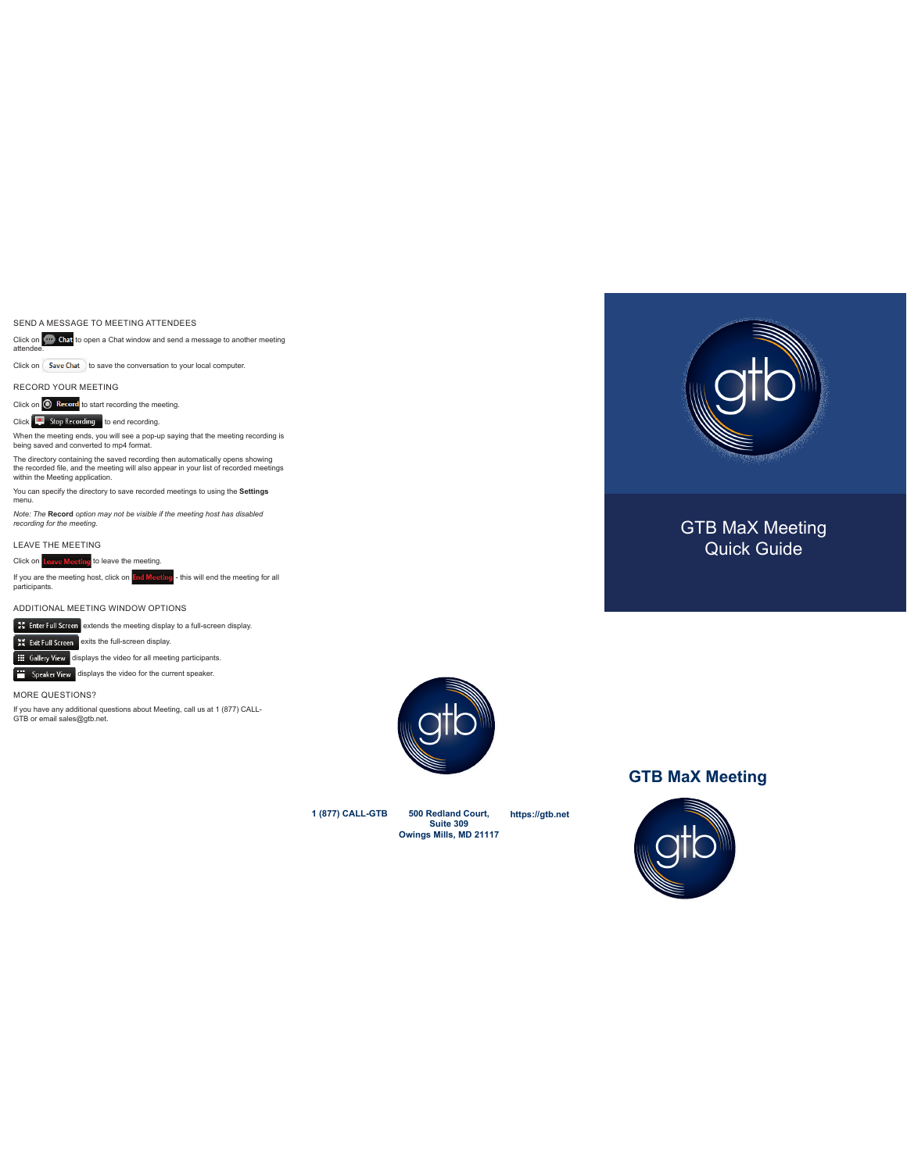SEND A MESSAGE TO MEETING ATTENDEES

Click on **Kore Chat** to open a Chat window and send a message to another meeting<br>attendee.

 $Click on \left( \frac{Save Chat}{Sose Chat} \right)$  to save the conversation to your local computer.

RECORD YOUR MEETING

Click on  $\odot$  Record to start recording the meeting.

Click **the Stop Recording** to end recording.

When the meeting ends, you will see a pop-up saying that the meeting recording is being saved and converted to mp4 format.

The directory containing the saved recording then automatically opens showing<br>the recorded file, and the meeting will also appear in your list of recorded meetings<br>within the Meeting application.

You can specify the directory to save recorded meetings to using the **Settings** menu.

*Note: The* **Record** *option may not be visible if the meeting host has disabled recording for the meeting.*

LEAVE THE MEETING

Click on Leave Meeting to leave the meeting.

If you are the meeting host, click on I<mark>thd Meeting</mark> - this will end the meeting for all<br>participants.

ADDITIONAL MEETING WINDOW OPTIONS

**Extermished Enter Full Screen** extends the meeting display to a full-screen display.

 $\frac{1}{2}$  Exit Full Screen exits the full-screen display.

**HE Gallery View** displays the video for all meeting participants.

**displays** the video for the current speaker.

MORE QUESTIONS?

If you have any additional questions about Meeting, call us at 1 (877) CALL-GTB or email sales@gtb.net.



**https://gtb.net**



# GTB MaX Meeting Quick Guide

## **GTB MaX Meeting**



**1 (877) CALL-GTB 500 Redland Court,** 

**Suite 309 Owings Mills, MD 21117**